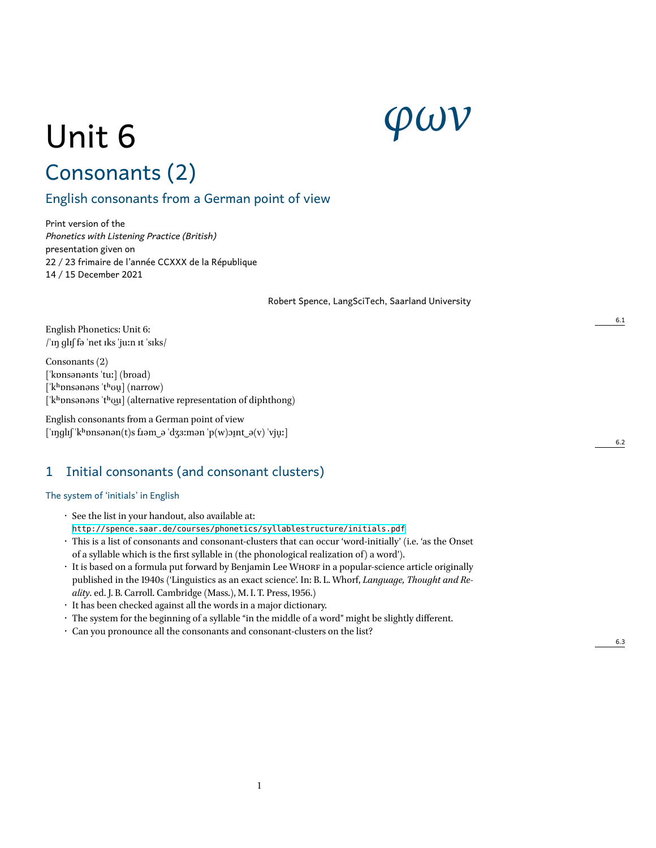# *φων*

# Unit 6 Consonants (2)

# English consonants from a German point of view

Print version of the *Phonetics with Listening Practice (British)* presentation given on 22 / 23 frimaire de l'année CCXXX de la République 14 / 15 December 2021

Robert Spence, LangSciTech, Saarland University

English Phonetics: Unit 6: /ˈɪŋ ɡlɪʃ fə ˈnet ɪks ˈjuːn ɪt ˈsɪks/

Consonants (2) [ˈkɒnsənənts ˈtuː] (broad) [ˈkʰɒnsənəns ˈtʰʊu̯] (narrow) ['k<sup>h</sup>onsanans 't<sup>h</sup>ou] (alternative representation of diphthong)

English consonants from a German point of view  $\lceil \text{`nglı} \rceil$ 'kʰ $\text{onsonən}(t)$ s f $\text{tan}_e$  'dʒɜːmən 'p(w) $\text{opt}_e$ (v) 'vju̯ː]

# 1 Initial consonants (and consonant clusters)

#### The system of 'initials' in English

- See the list in your handout, also available at: <http://spence.saar.de/courses/phonetics/syllablestructure/initials.pdf>
- This is a list of consonants and consonant-clusters that can occur 'word-initially' (i.e. 'as the Onset of a syllable which is the first syllable in (the phonological realization of) a word').
- It is based on a formula put forward by Benjamin Lee WHORF in a popular-science article originally published in the 1940s ('Linguistics as an exact science'. In: B. L. Whorf, *Language, Thought and Reality*. ed. J. B. Carroll. Cambridge (Mass.), M. I. T. Press, 1956.)
- It has been checked against all the words in a major dictionary.
- The system for the beginning of a syllable "in the middle of a word" might be slightly different.
- Can you pronounce all the consonants and consonant-clusters on the list?

6.3

6.2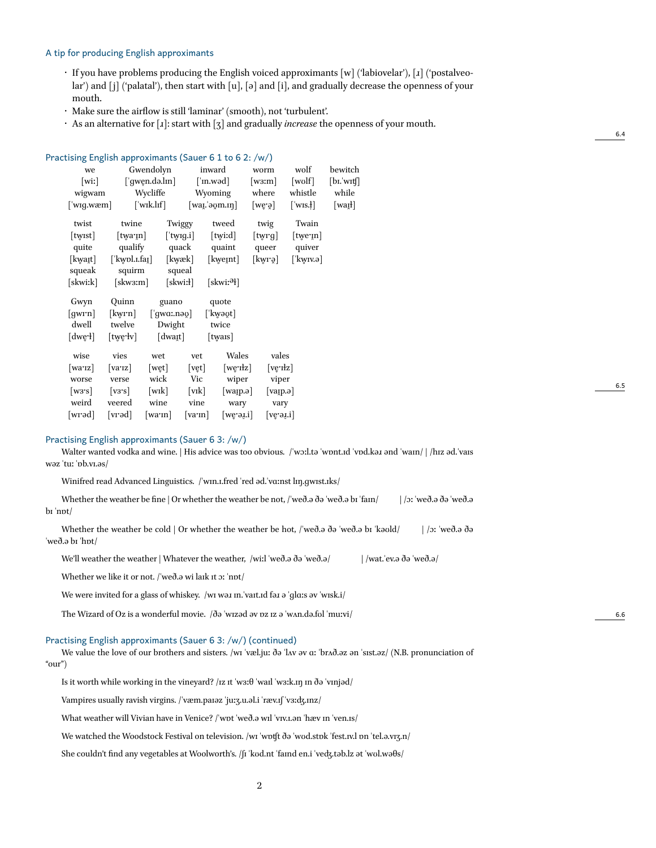#### A tip for producing English approximants

- $\cdot$  If you have problems producing the English voiced approximants [w] ('labiovelar'), [x] ('postalveolar') and [j] ('palatal'), then start with [u], [ə] and [i], and gradually decrease the openness of your mouth.
- Make sure the airflow is still 'laminar' (smooth), not 'turbulent'.
- As an alternative for [ɹ]: start with [ʒ] and gradually *increase*the openness of your mouth.

#### Practising English approximants (Sauer 6 1 to 6 2: /w/)

| we    |                             |                                  | Gwendolyn                     |                | inward                   |                   | wolf               | bewitch |
|-------|-----------------------------|----------------------------------|-------------------------------|----------------|--------------------------|-------------------|--------------------|---------|
| [wiː] |                             | $\lceil \Psi \rangle$ gwen.də.lm |                               | [ˈm.wəd]       | [w3:m]                   | $[{\text{wolf}}]$ | $[$ bi. wit $[$    |         |
|       | wigwam                      |                                  | Wycliffe                      |                | Wyoming                  | where             | whistle            | while   |
|       | [ˈwɪɡ.wæm]                  |                                  | $\lceil$ 'wik.lif $\rceil$    |                | $[wa, \alpha, \alpha]$   | $[we\bar{g}]$     | $\lceil$ wis.!     | [waɪl]  |
|       | twist                       | twine                            |                               | Twiggy         | tweed                    | twig              | Twain              |         |
|       | twist                       | [twaːɪn]                         |                               | [ˈtwɪɡ.i]      | [twiːd]                  | [twrg]            | twe <sub>'In</sub> |         |
|       | quite                       | qualify                          |                               | quack          | quaint                   | queer             | quiver             |         |
|       | [kwaɪt]                     | ['kwpl.i.fai]                    |                               | [kwæk]         | [kweɪnt]                 | [kwrə]            | [ˈkwɪv.ə]          |         |
|       | squeak                      | squirm                           |                               | squeal         |                          |                   |                    |         |
|       | [skwiːk]                    | [skwɜːm]                         |                               | [skwiːł]       | [skwiː <sup>ə</sup> ł]   |                   |                    |         |
|       | Gwyn                        | Quinn                            | guano                         |                | quote                    |                   |                    |         |
|       | $\lceil \text{gwrn} \rceil$ | [kwrn]                           | $\lceil \Psi$ gwa:nə $\phi$ ] |                | [ˈkwəʊ̯t]                |                   |                    |         |
|       | dwell                       | twelve                           | Dwight                        |                | twice                    |                   |                    |         |
|       | [dwe·l]                     | [twe·lv]                         | [dwaɪ̯t]                      |                | twars                    |                   |                    |         |
|       | wise                        | vies                             | wet                           | vet            | Wales                    | vales             |                    |         |
|       | $\lceil \text{warz} \rceil$ | varz                             | wet                           | [ <i>vet</i> ] | $[we$ <sup>r</sup> $ z $ | [ve·ɪłz]          |                    |         |
|       | worse                       | verse                            | wick                          | Vic            | wiper                    | viper             |                    |         |
|       | [w3's]                      | vs                               | [wk]                          | $[\text{vik}]$ | waɪ̯p.ə                  | varp.ə            |                    |         |
|       | weird                       | veered                           | wine                          | vine           | wary                     | vary              |                    |         |
|       | [wrəd]                      | [vrəd]                           | $\lceil \text{warm} \rceil$   | [va·m]         | $[we$ a.i                | $[ve$ ə $i$       |                    |         |
|       |                             |                                  |                               |                |                          |                   |                    |         |

#### Practising English approximants (Sauer 6 3: /w/)

Walter wanted vodka and wine. | His advice was too obvious. /'wɔːl.tə 'wɒnt.ɪd 'vod.kəɪ ənd 'waɪn/ | /hɪz əd.'vaɪs wəz ˈtuː ˈɒb.vɪ.əs/

Winifred read Advanced Linguistics. /'wɪn.ɪ.fred 'red əd.'vɑːnst lɪn.gwɪst.ɪks/

Whether the weather be fine | Or whether the weather be not, /ˈweð.ə ðə ˈweð.ə bɪ ˈfam/ | /ɔː ˈweð.ə ðə ˈweð.ə bɪ ˈnɒt/

Whether the weather be cold | Or whether the weather be hot, /ˈweð.ə ðə ˈweð.ə bɪ ˈkəʊld/ | /ɔː ˈweð.ə ðə ˈweð.ə bɪ ˈhɒt/

We'll weather the weather | Whatever the weather, /wiːl ˈweð.ə ðə ˈweð.ə/ | /wat.ˈev.ə ðə ˈweð.ə/

Whether we like it or not. /ˈweð.ə wi laɪk ɪt ɔː ˈnɒt/

We were invited for a glass of whiskey. /wɪ wəɪ m.'vaɪt.ɪd fəɪ ə 'glaːs əv 'wɪsk.i/

The Wizard of Oz is a wonderful movie.  $\beta\sigma$  'wizəd əv pz iz ə 'wAn.də.fol 'muːvi/

Practising English approximants (Sauer 6 3: /w/) (continued)

We value the love of our brothers and sisters. /wɪ ˈvæl.juː ðə ˈlʌv əv ɑː ˈbrʌð.əz ən ˈsɪst.əz/ (N.B. pronunciation of "our")

Is it worth while working in the vineyard? /ɪz ɪt ˈwɜːθ ˈwaɪl ˈwɜːk.ɪŋ ɪn ðə ˈvɪnjəd/

Vampires usually ravish virgins. /ˈvæm.paɪəz ˈjuːʒ.u.əl.i ˈræv.ɪʃ ˈvɜːʤ.ɪnz/

What weather will Vivian have in Venice? /ˈwɒt ˈweð.ə wɪl ˈvɪv.ɪ.ən ˈhæv ɪn ˈven.ɪs/

We watched the Woodstock Festival on television. /wɪ 'wɒtft ðə 'wʊd.stɒk 'fest.ɪv.l ɒn 'tel.ə.vɪʒ.n/

She couldn't find any vegetables at Woolworth's. /ʃɪ ˈkʊd.nt ˈfaɪnd en.i ˈveʤ.təb.lz ət ˈwʊl.wəθs/

6.4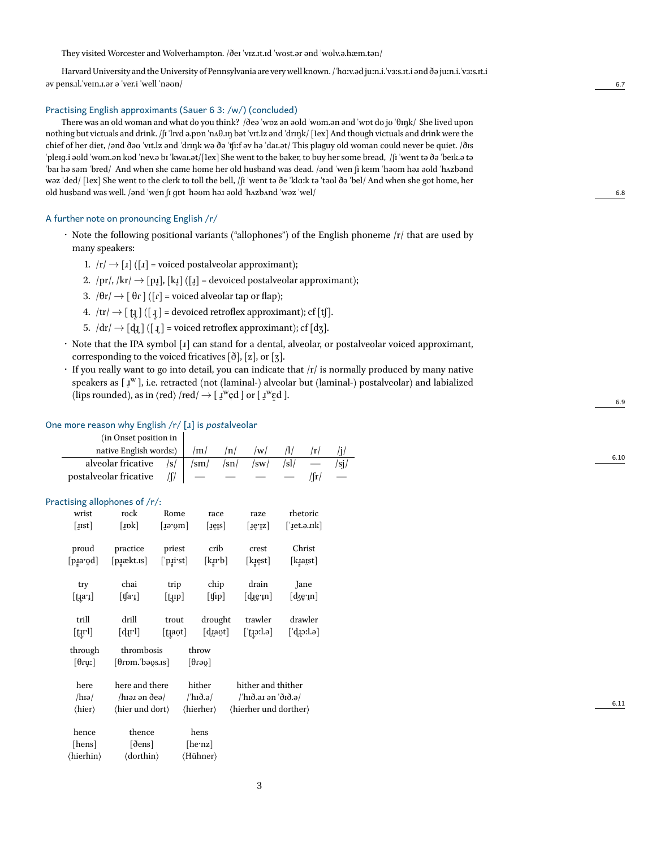They visited Worcester and Wolverhampton. /ðeɪ ˈvɪz.ɪt.ɪd ˈwʊst.ər ənd ˈwʊlv.ə.hæm.tən/

Harvard University and the University of Pennsylvania are verywell known. /ˈhɑːv.əd juːn.i.ˈvɜːs.ɪt.i ənd ðə juːn.i.ˈvɜːs.ɪt.i əv pens.ɪl.ˈveɪn.ɪ.ər ə ˈver.i ˈwell ˈnəʊn/ 6.7

#### Practising English approximants (Sauer 6 3: /w/) (concluded)

There was an old woman and what do you think? /ðeə ˈwɒz ən əʊld ˈwʊm.ən ənd ˈwɒt dʊ jʊ ˈθɪŋk/ She lived upon nothing but victuals and drink. /ʃɪ ˈlɪvd ə.pɒn ˈnʌθ.ɪŋ bət ˈvɪt.lz ənd ˈdrɪŋk/ [1ex] And though victuals and drink were the chief of her diet, /ənd ðəʊ ˈvɪt.lz ənd ˈdrɪŋk wə ðə ˈʧiːf əv hə ˈdaɪ.ət/ This plaguy old woman could never be quiet. /ðɪs ˈpleɪɡ.i əʊld ˈwʊm.ən kʊd ˈnev.ə bɪ ˈkwaɪ.ət/[1ex] She went to the baker, to buy her some bread, /ʃɪ ˈwent tə ðə ˈbeɪk.ə tə ˈbaɪ hə səm ˈbred/ And when she came home her old husband was dead. /ənd ˈwen ʃi keɪm ˈhəʊm həɹ əʊld ˈhʌzbənd wəz ˈded/ [1ex] She went to the clerk to toll the bell, /ʃɪ ˈwent tə ðe ˈklɑːk tə ˈtəʊl ðə ˈbel/ And when she got home, her old husband was well. /ənd ˈwen ʃɪ ɡɒt ˈhəʊm həɹ əʊld ˈhʌzbʌnd ˈwəz ˈwel/ 6.8

#### A further note on pronouncing English /r/

- Note the following positional variants ("allophones") of the English phoneme /r/ that are used by many speakers:
	- 1.  $|r| \rightarrow [1]$  ([1] = voiced postalveolar approximant);
	- 2. /pr/, /kr/  $\rightarrow$  [pɪ̯], [kɪ̯] ([ɪ̯] = devoiced postalveolar approximant);
	- 3.  $/ \theta r / \rightarrow$   $\theta r$   $/ (\theta r)$  = voiced alveolar tap or flap);
	- $4. \ \ \vert \mathrm{tr} \vert \rightarrow [ \ \mathfrak{t} \mathfrak{z} \ ]$  ([  $\mathfrak{t} \mathfrak{z} \ ]$  = devoiced retroflex approximant); cf [tʃ].
	- 5.  $/dr / \rightarrow [d_l]$  ([ $_l$ ] = voiced retroflex approximant); cf [dʒ].
- Note that the IPA symbol [ɹ] can stand for a dental, alveolar, or postalveolar voiced approximant, corresponding to the voiced fricatives  $\lbrack \delta \rbrack$ ,  $\lbrack z \rbrack$ , or  $\lbrack z \rbrack$ .
- If you really want to go into detail, you can indicate that /r/ is normally produced by many native speakers as [  $I<sup>w</sup>$  ], i.e. retracted (not (laminal-) alveolar but (laminal-) postalveolar) and labialized (lips rounded), as in  $\langle \text{red} \rangle$  /red/  $\rightarrow$  [  $\mathbf{I}^{\text{w}}$ e̯d] or [ $\mathbf{I}^{\text{w}}$ e̯d].

#### One more reason why English /r/ [ɹ] is *post*alveolar

| (in Onset position in  |   |                  |        |    |      |  |
|------------------------|---|------------------|--------|----|------|--|
| native English words:) |   | /m/              | /n/    | w  |      |  |
| alveolar fricative     | s | $\sqrt{\rm sm/}$ | $\sin$ | sw | /sl/ |  |
| postalveolar fricative |   |                  |        |    |      |  |
|                        |   |                  |        |    |      |  |

#### Practising allophones of /r/:

| wrist                                                         | rock                            | Rome                                    | race                               | raze                       | rhetoric                                     |  |  |
|---------------------------------------------------------------|---------------------------------|-----------------------------------------|------------------------------------|----------------------------|----------------------------------------------|--|--|
| [ <i>ust</i> ]                                                | [nok]                           | [ $Iə'qm$ ]                             | [ <i>i</i> ę <i>l</i> s]           | $[I\hat{e}Iz]$             | [' $jet.a.nk$ ]                              |  |  |
| proud                                                         | practice                        | priest                                  | crib                               | crest                      | Christ                                       |  |  |
| [pɪ̯a'ʊ̯d]                                                    | [pɹ̯ækt.ɪs]                     | $[\ ]$ p $\left[\right.$ irst $\right]$ | [kirb]                             | [kɪe̯st]                   | [kɪ̯aɪ̯st]                                   |  |  |
| try                                                           | chai                            | trip                                    | chip                               | drain                      | Jane                                         |  |  |
| $[\text{t}$ a'i]                                              | $[\,\xi]$ a'ı                   | [tɪp]                                   | $[$ tfip $]$                       | $[d$ ierm]                 | $\lceil \text{d} \xi \cdot \text{ln} \rceil$ |  |  |
|                                                               |                                 |                                         |                                    |                            |                                              |  |  |
| trill<br>$[$ tųr $]$                                          | drill<br>[d.u.l]                | trout<br>[tagt]                         | drought<br>[dawt]                  | trawler<br>$[$ ttorl.ə $]$ | drawler<br>$\lceil d$ .ictb $\rceil$         |  |  |
| through                                                       | thrombosis                      |                                         | throw                              |                            |                                              |  |  |
| $\lceil \theta$ ruː $\rceil$                                  | [θɾɒm.ˈbəʊ̯s.ɪs]                |                                         | $[\psi$ 61                         |                            |                                              |  |  |
| here                                                          | here and there                  |                                         | hither                             | hither and thither         |                                              |  |  |
| $/h$ Iə $/$                                                   |                                 | /hɪəɹ ən ðeə/ /'hɪð.ə/                  |                                    | /ˈhɪð.əɹ ən ˈðɪð.ə/        |                                              |  |  |
| $\langle$ hier und dort $\rangle$<br>$\langle$ hier $\rangle$ |                                 |                                         | (hierher)<br>(hierher und dorther) |                            |                                              |  |  |
| hence                                                         | thence                          |                                         | hens                               |                            |                                              |  |  |
| [hens]                                                        | $\lceil\delta \text{ens}\rceil$ |                                         | [he·nz]                            |                            |                                              |  |  |
| (hierhin)                                                     | (dorthin)                       |                                         | (Hühner)                           |                            |                                              |  |  |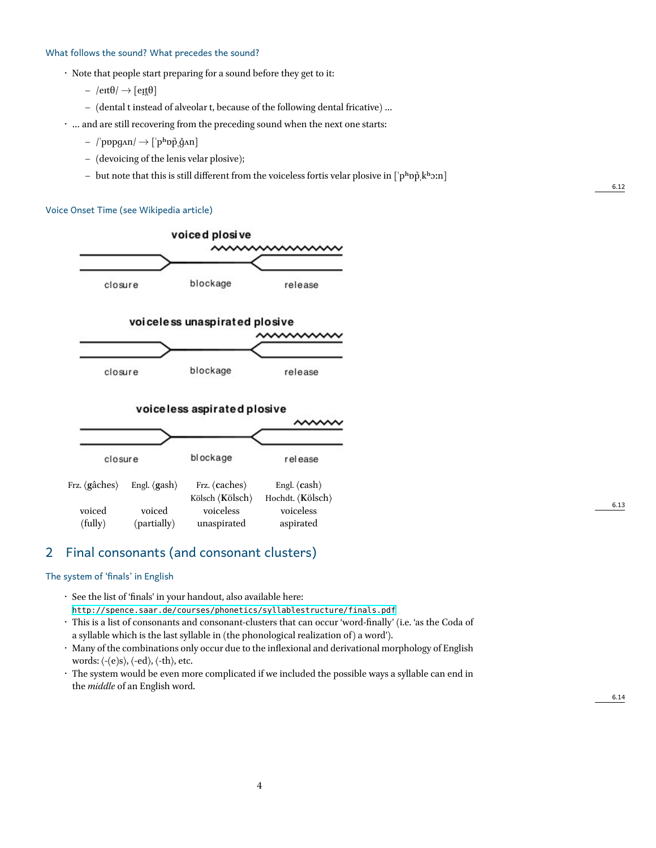#### What follows the sound? What precedes the sound?

- Note that people start preparing for a sound before they get to it:
	- $-$  /eɪt $\theta$ / $\rightarrow$  [eɪt $\theta$ ]
	- **–** (dental t instead of alveolar t, because of the following dental fricative) …
- … and are still recovering from the preceding sound when the next one starts:
	- **–** /ˈpɒpɡʌn/ *→* [ˈpʰɒp̚ˌɡ̊ʌn]
	- **–** (devoicing of the lenis velar plosive);
	- **–** but note that this is still different from the voiceless fortis velar plosive in [ˈpʰɒp̚ˌkʰɔːn]

#### Voice Onset Time (see Wikipedia article)



### 2 Final consonants (and consonant clusters)

#### The system of 'finals' in English

- See the list of 'finals' in your handout, also available here: <http://spence.saar.de/courses/phonetics/syllablestructure/finals.pdf>
- This is a list of consonants and consonant-clusters that can occur 'word-finally' (i.e. 'as the Coda of a syllable which is the last syllable in (the phonological realization of) a word').
- Many of the combinations only occur due to the inflexional and derivational morphology of English words: ⟨-(e)s⟩, ⟨-ed⟩, ⟨-th⟩, etc.
- The system would be even more complicated if we included the possible ways a syllable can end in the *middle* of an English word.

6.12

6.13